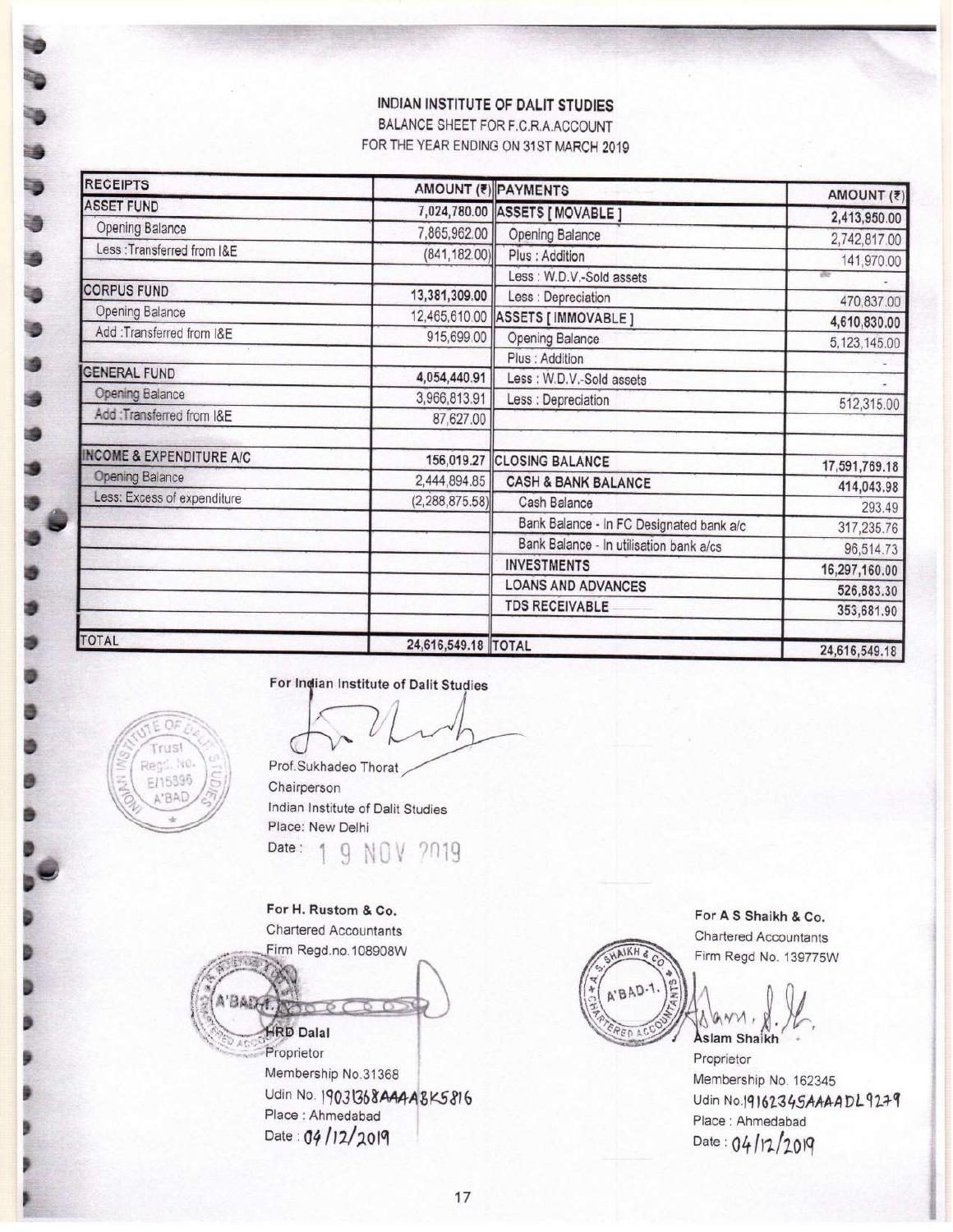## **INDIAN INSTITUTE OF DALIT STUDIES**

BALANCE SHEET FOR F.C.R.A.ACCOUNT FOR THE YEAR ENDING ON 31ST MARCH 2019

| <b>RECEIPTS</b>                     |                     | <b>AMOUNT (₹) PAYMENTS</b>               | AMOUNT (₹)           |
|-------------------------------------|---------------------|------------------------------------------|----------------------|
| <b>ASSET FUND</b>                   |                     | 7,024,780.00 ASSETS [ MOVABLE ]          | 2,413,950.00         |
| Opening Balance                     | 7,865,962.00        | <b>Opening Balance</b>                   |                      |
| Less : Transferred from I&E         | (841, 182.00)       | Plus : Addition                          | 2,742,817.00         |
|                                     |                     | Less : W.D.V.-Sold assets                | 141,970.00           |
| <b>CORPUS FUND</b>                  | 13,381,309.00       | Less : Depreciation                      | 470,837.00           |
| <b>Opening Balance</b>              |                     | 12,465,610.00 ASSETS [ IMMOVABLE ]       | 4,610,830.00         |
| Add: Transferred from I&E           | 915,699.00          | Opening Balance                          | 5,123,145.00         |
|                                     |                     | Plus : Addition                          |                      |
| <b>GENERAL FUND</b>                 | 4,054,440.91        | Less : W.D.V.-Sold assets                |                      |
| <b>Opening Balance</b>              | 3,966,813.91        | Less : Depreciation                      | 512,315.00           |
| Add:Transferred from I&E            | 87,627.00           |                                          |                      |
| <b>INCOME &amp; EXPENDITURE A/C</b> | 156,019.27          | <b>CLOSING BALANCE</b>                   |                      |
| <b>Opening Balance</b>              | 2,444,894.85        | <b>CASH &amp; BANK BALANCE</b>           | 17,591,769.18        |
| Less: Excess of expenditure         | (2, 288, 875.58)    | Cash Balance                             | 414,043.98<br>293.49 |
|                                     |                     | Bank Balance - In FC Designated bank a/c | 317,235.76           |
|                                     |                     | Bank Balance - In utilisation bank a/cs  | 96,514.73            |
|                                     |                     | <b>INVESTMENTS</b>                       | 16,297,160.00        |
|                                     |                     | <b>LOANS AND ADVANCES</b>                | 526,883.30           |
|                                     |                     | <b>TDS RECEIVABLE</b>                    | 353,681.90           |
| <b>TOTAL</b>                        | 24,616,549.18 TOTAL |                                          | 24,616,549.18        |

For Indian Institute of Dalit Studies



For H. Rustom & Co. Chartered Accountants Firm Regd.no.108908W



Udin No. 19031368AAAABK5816 Place : Ahmedabad Date: 04/12/2019



For A S Shaikh & Co. **Chartered Accountants** Firm Regd No. 139775W

Aslam Shaikh

Proprietor Membership No. 162345 Udin No.19162345AAAADL9279 Place : Ahmedabad Date:  $04/12/2019$ 



OF

3

**.**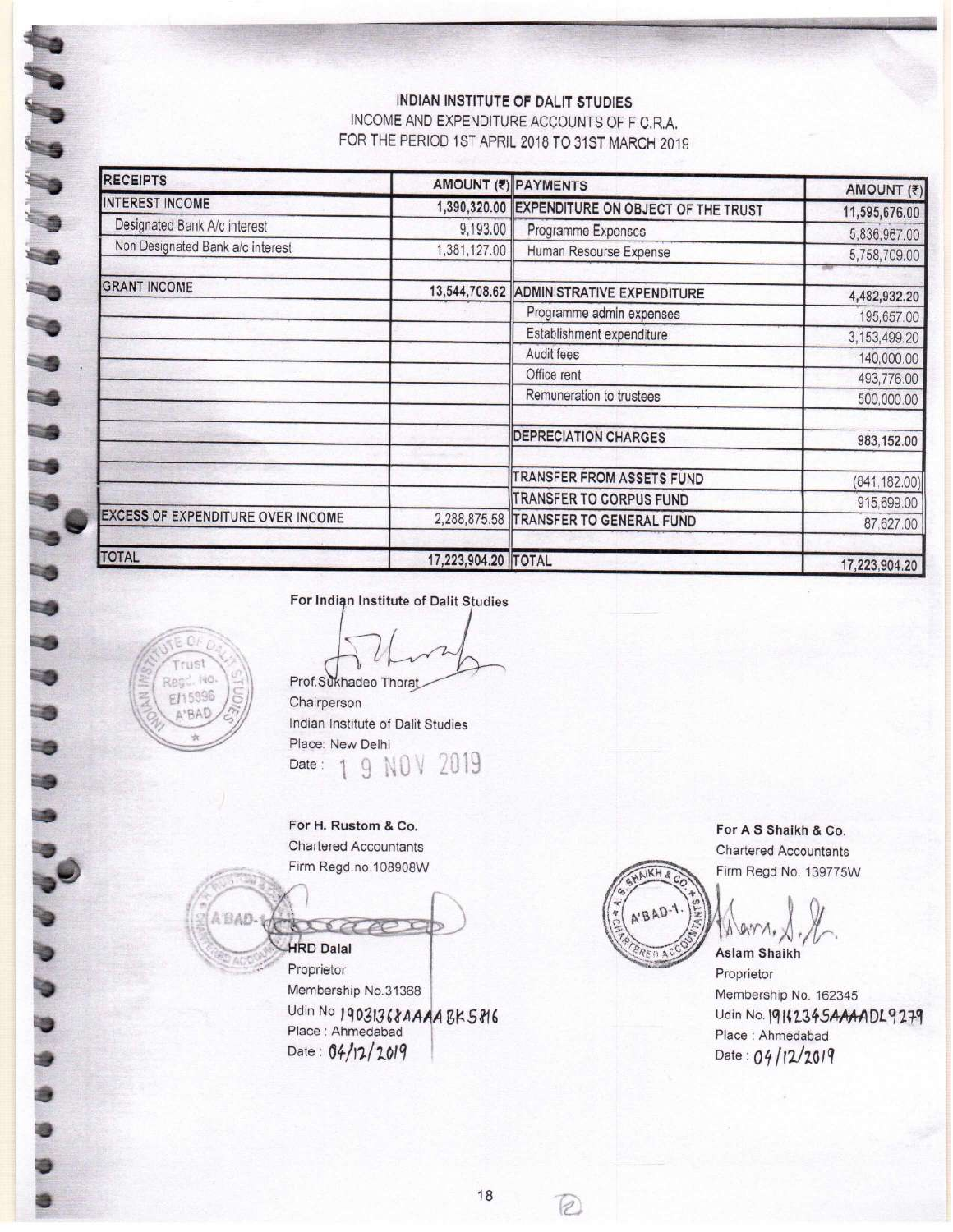# INDIAN INSTITUTE OF DALIT STUDIES

INCOME AND EXPENDITURE ACCOUNTS OF F.C.R.A. FOR THE PERIOD 1ST APRIL 2018 TO 31ST MARCH 2019

| <b>RECEIPTS</b>                          |                     | AMOUNT (?) PAYMENTS                             | AMOUNT (₹)    |
|------------------------------------------|---------------------|-------------------------------------------------|---------------|
| <b>INTEREST INCOME</b>                   |                     | 1,390,320.00 EXPENDITURE ON OBJECT OF THE TRUST | 11,595,676.00 |
| Designated Bank A/c interest             | 9,193.00            | Programme Expenses                              | 5,836,967.00  |
| Non Designated Bank a/c interest         | 1,381,127.00        | Human Resourse Expense                          | 5,758,709.00  |
| <b>GRANT INCOME</b>                      |                     | 13,544,708.62 ADMINISTRATIVE EXPENDITURE        | 4,482,932.20  |
|                                          |                     | Programme admin expenses                        | 195,657.00    |
|                                          |                     | Establishment expenditure                       | 3,153,499.20  |
|                                          |                     | Audit fees                                      | 140,000.00    |
|                                          |                     | Office rent                                     | 493,776.00    |
|                                          |                     | Remuneration to trustees                        | 500,000.00    |
|                                          |                     | <b>DEPRECIATION CHARGES</b>                     | 983,152.00    |
|                                          |                     | TRANSFER FROM ASSETS FUND                       | (841, 182.00) |
|                                          |                     | TRANSFER TO CORPUS FUND                         | 915,699.00    |
| <b>EXCESS OF EXPENDITURE OVER INCOME</b> |                     | 2,288,875.58 TRANSFER TO GENERAL FUND           | 87,627.00     |
| TOTAL                                    | 17,223,904.20 TOTAL |                                                 | 17,223,904.20 |

For Indian Institute of Dalit Studies



**ABBBBBBBBBBBB** 

3

4

-0

3

Prof.Sukhadeo Thorat Chairperson Indian Institute of Dalit Studies

Place: New Delhi 2019 9 NOV Date:

For H. Rustom & Co. **Chartered Accountants** Firm Regd.no.108908W

A'BAD **HRD Dalal** 

Proprietor Membership No.31368 Udin No 19031368AAAABK5816 Place : Ahmedabad Date: 04/12/2019



For A S Shaikh & Co. **Chartered Accountants** Firm Regd No. 139775W

Λ **Aslam Shaikh** 

Proprietor Membership No. 162345 Udin No. 19142345AAAADL9279 Place: Ahmedabad Date: 04/12/2019

 $\Omega$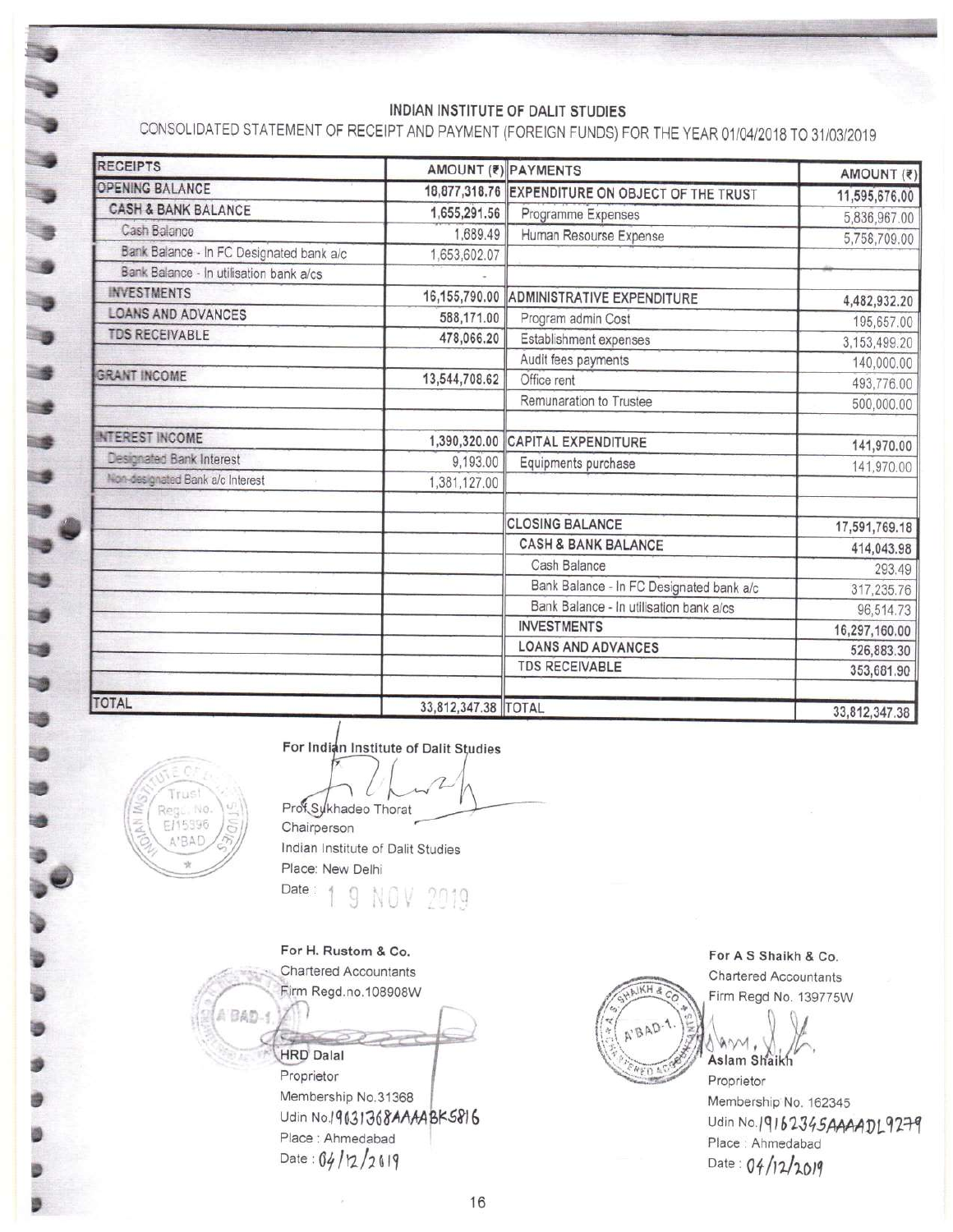## INDIAN INSTITUTE OF DALIT STUDIES

CONSOLIDATED STATEMENT OF RECEIPT AND PAYMENT (FOREIGN FUNDS) FOR THE YEAR 01/04/2018 TO 31/03/2019

| <b>RECEIPTS</b>                          |                     | AMOUNT (?) PAYMENTS                              | AMOUNT (₹)    |
|------------------------------------------|---------------------|--------------------------------------------------|---------------|
| <b>OPENING BALANCE</b>                   |                     | 18,877,318.76 EXPENDITURE ON OBJECT OF THE TRUST | 11,595,676.00 |
| <b>CASH &amp; BANK BALANCE</b>           | 1,655,291.56        | Programme Expenses                               | 5,836,967.00  |
| Cash Balance                             | 1,689.49            | Human Resourse Expense                           | 5,758,709.00  |
| Bank Balance - In FC Designated bank a/c | 1,653,602.07        |                                                  |               |
| Bank Balance - In utilisation bank a/cs  |                     |                                                  |               |
| <b>INVESTMENTS</b>                       | 16,155,790.00       | ADMINISTRATIVE EXPENDITURE                       | 4,482,932.20  |
| <b>LOANS AND ADVANCES</b>                | 588,171.00          | Program admin Cost                               | 195,657.00    |
| <b>TDS RECEIVABLE</b>                    | 478,066.20          | Establishment expenses                           | 3,153,499.20  |
|                                          |                     | Audit fees payments                              | 140,000.00    |
| <b>GRANT INCOME</b>                      | 13,544,708.62       | Office rent                                      | 493,776.00    |
|                                          |                     | Remunaration to Trustee                          | 500,000.00    |
| <b>NTEREST INCOME</b>                    | 1,390,320.00        | <b>CAPITAL EXPENDITURE</b>                       | 141,970.00    |
| Designated Bank Interest                 | 9,193.00            | Equipments purchase                              | 141,970.00    |
| Non-designated Bank a/c Interest         | 1,381,127.00        |                                                  |               |
|                                          |                     | <b>CLOSING BALANCE</b>                           | 17,591,769.18 |
|                                          |                     | <b>CASH &amp; BANK BALANCE</b>                   | 414,043.98    |
|                                          |                     | Cash Balance                                     | 293.49        |
|                                          |                     | Bank Balance - In FC Designated bank a/c         | 317,235.76    |
|                                          |                     | Bank Balance - In utilisation bank a/cs          | 96,514.73     |
|                                          |                     | <b>INVESTMENTS</b>                               | 16,297,160.00 |
|                                          |                     | <b>LOANS AND ADVANCES</b>                        | 526,883.30    |
|                                          |                     | <b>TDS RECEIVABLE</b>                            | 353,681.90    |
| TOTAL                                    | 33,812,347.38 TOTAL |                                                  | 33.812.347.38 |



 $\overline{\phantom{a}}$ 

۱,

់ទ

-3

-19

For Indian Institute of Dalit Studies

Prof Sykhadeo Thorat

Chairperson Indian Institute of Dalit Studies Place: New Delhi Date: 2019

For H. Rustom & Co.

**Chartered Accountants** Firm Regd.no.108908W A BAD. Sept

**HRD Dalal** Proprietor Membership No.31368 Udin No.19031368AAAABK5816 Place : Ahmedabad Date:  $04/12/2019$ 

**B.IKH** A'BAD.

For A S Shaikh & Co.

Chartered Accountants Firm Regd No. 139775W

A AM , W

Proprietor Membership No. 162345 Udin No.19162345AAAADL9279 Place: Ahmedabad Date: 04/12/2019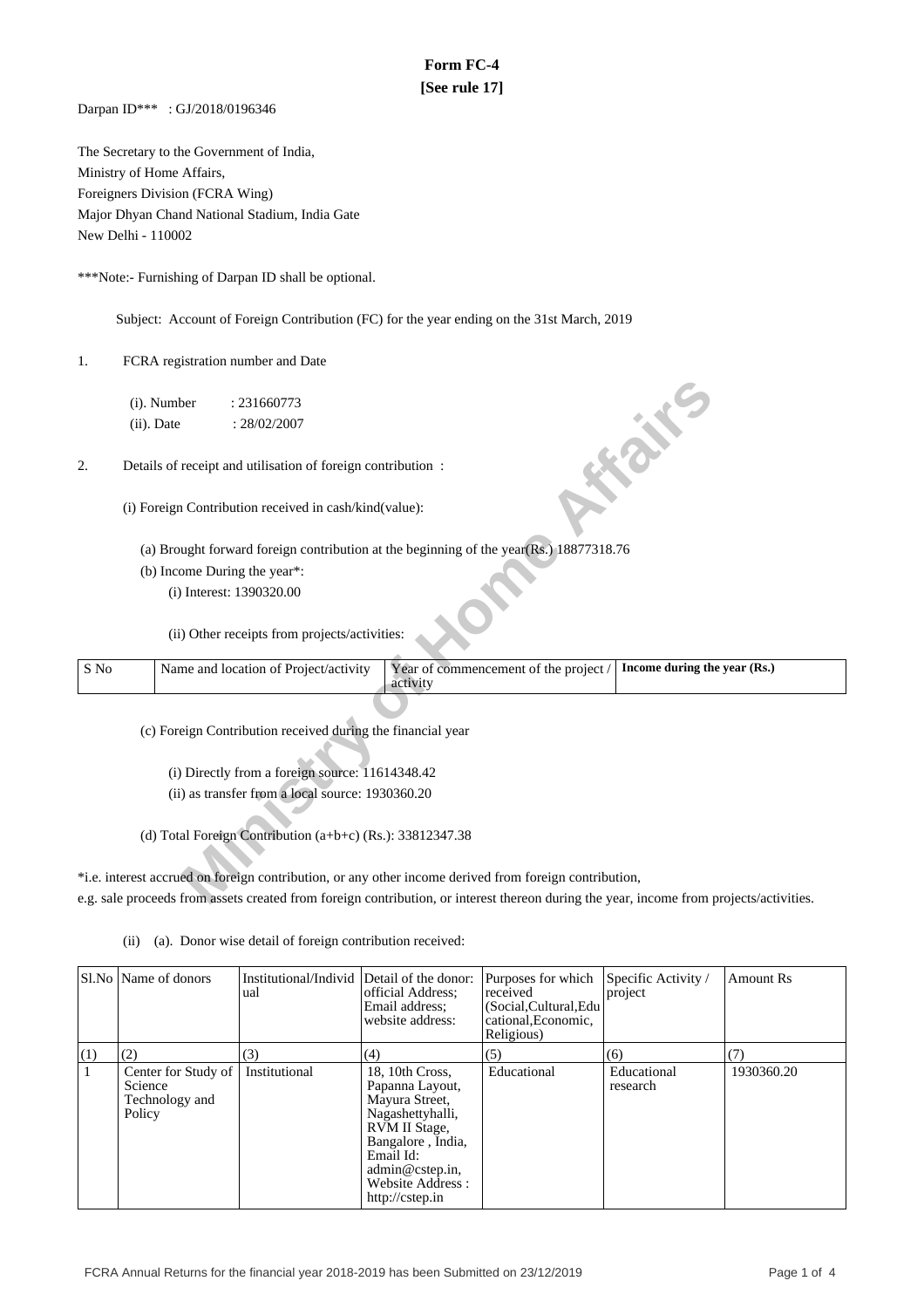## **Form FC-4 [See rule 17]**

Darpan ID\*\*\* : GJ/2018/0196346

The Secretary to the Government of India, Ministry of Home Affairs, Foreigners Division (FCRA Wing) Major Dhyan Chand National Stadium, India Gate New Delhi - 110002

\*\*\*Note:- Furnishing of Darpan ID shall be optional.

Subject: Account of Foreign Contribution (FC) for the year ending on the 31st March, 2019

1. FCRA registration number and Date

| (i). Number<br>: 231660773                                                                             |  |
|--------------------------------------------------------------------------------------------------------|--|
| $(ii)$ . Date<br>: 28/02/2007                                                                          |  |
| <b>FOR THE</b>                                                                                         |  |
| Details of receipt and utilisation of foreign contribution:<br>2.                                      |  |
|                                                                                                        |  |
| (i) Foreign Contribution received in cash/kind(value):                                                 |  |
|                                                                                                        |  |
| (a) Brought forward foreign contribution at the beginning of the year(Rs.) 18877318.76                 |  |
| (b) Income During the year*:                                                                           |  |
| (i) Interest: 1390320.00                                                                               |  |
|                                                                                                        |  |
| (ii) Other receipts from projects/activities:                                                          |  |
| Income during the year (Rs.)<br>S No                                                                   |  |
| Name and location of Project/activity<br>Year of commencement of the project /<br>activity             |  |
|                                                                                                        |  |
| (c) Foreign Contribution received during the financial year                                            |  |
|                                                                                                        |  |
| (i) Directly from a foreign source: 11614348.42                                                        |  |
| (ii) as transfer from a local source: 1930360.20                                                       |  |
|                                                                                                        |  |
| (d) Total Foreign Contribution $(a+b+c)$ (Rs.): 33812347.38                                            |  |
|                                                                                                        |  |
| *i.e. interest accrued on foreign contribution, or any other income derived from foreign contribution, |  |
|                                                                                                        |  |

(ii) (a). Donor wise detail of foreign contribution received:

|     | Sl.No   Name of donors                                     | Institutional/Individ Detail of the donor:<br>ual | official Address:<br>Email address:<br>website address:                                                                                                                               | Purposes for which<br>received<br>(Social, Cultural, Edu<br>cational, Economic,<br>Religious) | Specific Activity /<br>project | Amount Rs  |
|-----|------------------------------------------------------------|---------------------------------------------------|---------------------------------------------------------------------------------------------------------------------------------------------------------------------------------------|-----------------------------------------------------------------------------------------------|--------------------------------|------------|
| (1) | (2)                                                        | (3)                                               | (4)                                                                                                                                                                                   | (5)                                                                                           | (6)                            | (7)        |
|     | Center for Study of<br>Science<br>Technology and<br>Policy | Institutional                                     | 18, 10th Cross,<br>Papanna Layout,<br>Mayura Street,<br>Nagashettyhalli,<br>RVM II Stage,<br>Bangalore, India,<br>Email Id:<br>admin@cstep.in,<br>Website Address:<br>http://cstep.in | Educational                                                                                   | Educational<br>research        | 1930360.20 |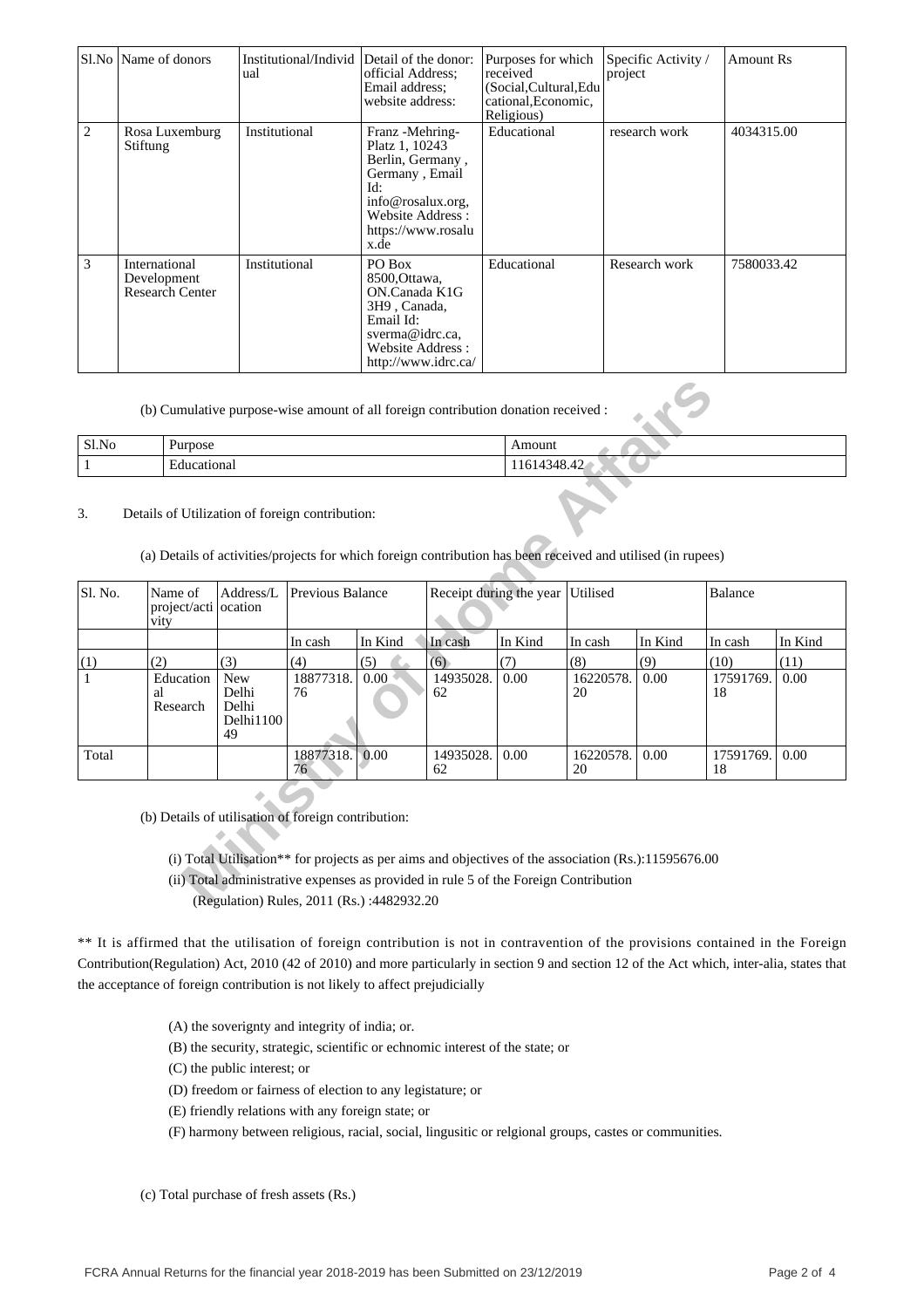|   | Sl.No   Name of donors                                 | Institutional/Individ Detail of the donor:<br>ual | official Address:<br>Email address:<br>website address:                                                                                                | Purposes for which<br>received<br>(Social,Cultural,Edu<br>cational, Economic,<br>Religious) | Specific Activity /<br>project | Amount Rs  |
|---|--------------------------------------------------------|---------------------------------------------------|--------------------------------------------------------------------------------------------------------------------------------------------------------|---------------------------------------------------------------------------------------------|--------------------------------|------------|
| 2 | Rosa Luxemburg<br>Stiftung                             | Institutional                                     | Franz - Mehring-<br>Platz 1, 10243<br>Berlin, Germany,<br>Germany, Email<br>Id:<br>info@rosalux.org,<br>Website Address:<br>https://www.rosalu<br>x.de | Educational                                                                                 | research work                  | 4034315.00 |
| 3 | International<br>Development<br><b>Research Center</b> | Institutional                                     | PO Box<br>8500, Ottawa,<br>ON.Canada K1G<br>3H9, Canada,<br>Email Id:<br>sverma@idrc.ca.<br>Website Address:<br>http://www.idrc.ca/                    | Educational                                                                                 | Research work                  | 7580033.42 |

(b) Cumulative purpose-wise amount of all foreign contribution donation received :

| Sl.No | Purpose     | Amoun                         |
|-------|-------------|-------------------------------|
|       | Educationa. | $\mathbf{v} \cdot \mathbf{r}$ |

#### 3. Details of Utilization of foreign contribution:

| Sl.No<br>Purpose |                                                                                                                                                                 |                                                 |                  |                                            | Amount                                                                                                                                                                                       |                                  |                 |         |                 |         |
|------------------|-----------------------------------------------------------------------------------------------------------------------------------------------------------------|-------------------------------------------------|------------------|--------------------------------------------|----------------------------------------------------------------------------------------------------------------------------------------------------------------------------------------------|----------------------------------|-----------------|---------|-----------------|---------|
| $\mathbf{1}$     | Educational                                                                                                                                                     |                                                 |                  |                                            |                                                                                                                                                                                              | 11614348.42                      |                 |         |                 |         |
| 3.               | Details of Utilization of foreign contribution:<br>(a) Details of activities/projects for which foreign contribution has been received and utilised (in rupees) |                                                 |                  |                                            |                                                                                                                                                                                              |                                  |                 |         |                 |         |
| Sl. No.          | Name of<br>project/acti ocation<br>vity                                                                                                                         | Address/L                                       | Previous Balance |                                            |                                                                                                                                                                                              | Receipt during the year Utilised |                 |         | Balance         |         |
|                  |                                                                                                                                                                 |                                                 | In cash          | In Kind                                    | In cash                                                                                                                                                                                      | In Kind                          | In cash         | In Kind | In cash         | In Kind |
| (1)              | (2)                                                                                                                                                             | (3)                                             | (4)              | (5)                                        | (6)                                                                                                                                                                                          | (7)                              | (8)             | (9)     | (10)            | (11)    |
|                  | Education<br>al<br>Research                                                                                                                                     | <b>New</b><br>Delhi<br>Delhi<br>Delhi1100<br>49 | 18877318.<br>76  | 0.00                                       | 14935028.<br>62                                                                                                                                                                              | 0.00                             | 16220578.<br>20 | 0.00    | 17591769.<br>18 | 0.00    |
| Total            |                                                                                                                                                                 |                                                 | 18877318.<br>76  | 0.00                                       | 14935028.<br>62                                                                                                                                                                              | 0.00                             | 16220578.<br>20 | 0.00    | 17591769.<br>18 | 0.00    |
|                  | (b) Details of utilisation of foreign contribution:                                                                                                             |                                                 |                  | (Regulation) Rules. 2011 (Rs.): 4482932.20 | (i) Total Utilisation** for projects as per aims and objectives of the association (Rs.):11595676.00<br>(ii) Total administrative expenses as provided in rule 5 of the Foreign Contribution |                                  |                 |         |                 |         |

(Regulation) Rules, 2011 (Rs.) :4482932.20

\*\* It is affirmed that the utilisation of foreign contribution is not in contravention of the provisions contained in the Foreign Contribution(Regulation) Act, 2010 (42 of 2010) and more particularly in section 9 and section 12 of the Act which, inter-alia, states that the acceptance of foreign contribution is not likely to affect prejudicially

(A) the soverignty and integrity of india; or.

(B) the security, strategic, scientific or echnomic interest of the state; or

- (C) the public interest; or
- (D) freedom or fairness of election to any legistature; or
- (E) friendly relations with any foreign state; or

(F) harmony between religious, racial, social, lingusitic or relgional groups, castes or communities.

(c) Total purchase of fresh assets (Rs.)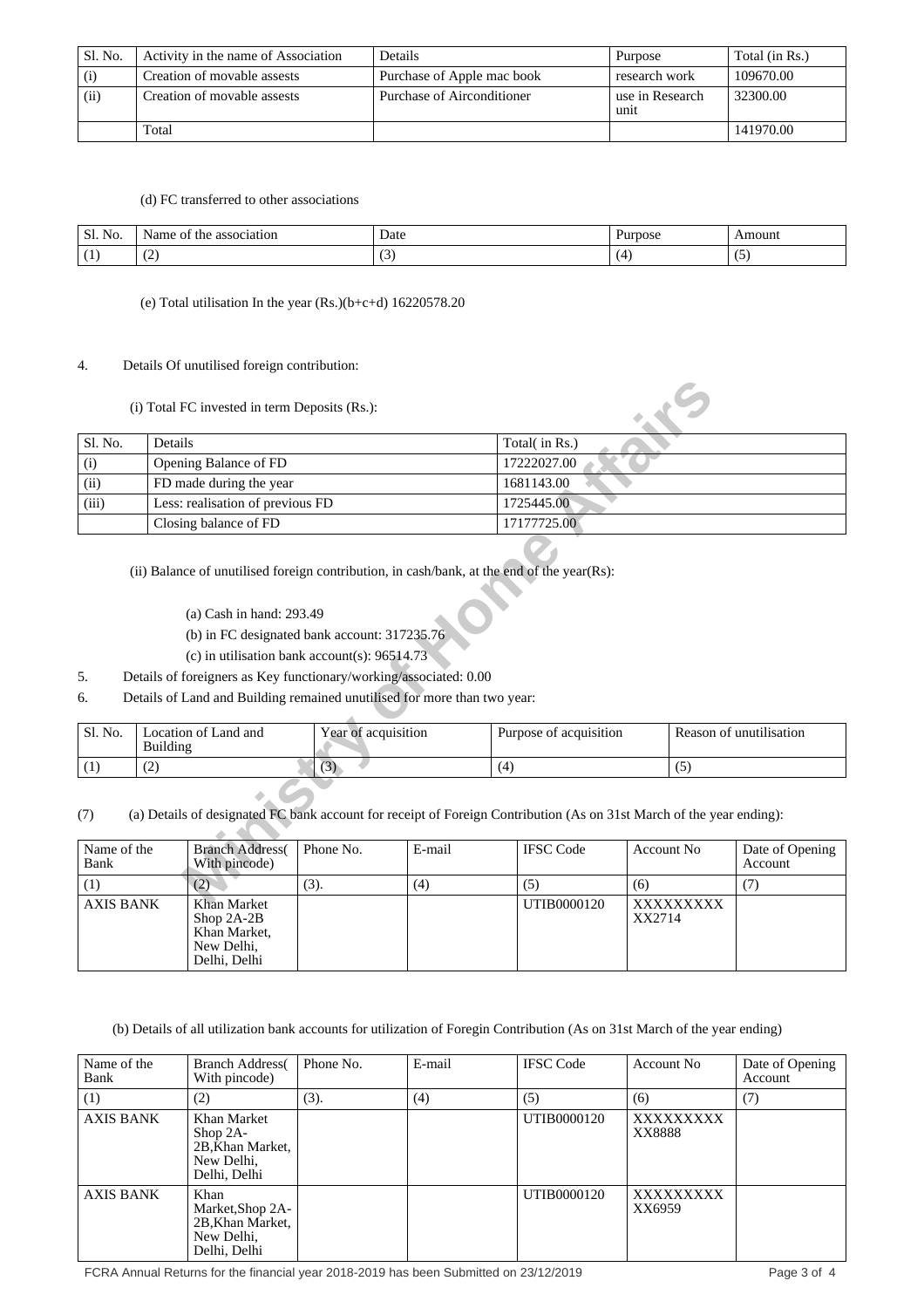| Sl. No. | Activity in the name of Association | Details                    | Purpose                 | Total (in Rs.) |
|---------|-------------------------------------|----------------------------|-------------------------|----------------|
| (i)     | Creation of movable assests         | Purchase of Apple mac book | research work           | 109670.00      |
| (ii)    | Creation of movable assests         | Purchase of Airconditioner | use in Research<br>unit | 32300.00       |
|         | Total                               |                            |                         | 141970.00      |

(d) FC transferred to other associations

| Sl.<br>NO. | 10r<br>the<br>000001<br>ОI<br>me<br>ы<br>455V | Date | ™OS∟ | .moun* |
|------------|-----------------------------------------------|------|------|--------|
| . .        | $\overline{\phantom{a}}$<br>$\sim$            |      |      | ٠.     |

(e) Total utilisation In the year (Rs.)(b+c+d) 16220578.20

#### 4. Details Of unutilised foreign contribution:

#### (i) Total FC invested in term Deposits (Rs.):

|                            |                 | (i) Total FC invested in term Deposits (Rs.):                                                                                                                                                                                                                                                                                                                                 |                     |        |     |                        |                   |                  |                            |
|----------------------------|-----------------|-------------------------------------------------------------------------------------------------------------------------------------------------------------------------------------------------------------------------------------------------------------------------------------------------------------------------------------------------------------------------------|---------------------|--------|-----|------------------------|-------------------|------------------|----------------------------|
| Sl. No.                    | Details         |                                                                                                                                                                                                                                                                                                                                                                               |                     |        |     | Total(in Rs.)          |                   |                  |                            |
| (i)                        |                 | Opening Balance of FD                                                                                                                                                                                                                                                                                                                                                         |                     |        |     | 17222027.00            |                   |                  |                            |
| (ii)                       |                 | FD made during the year                                                                                                                                                                                                                                                                                                                                                       |                     |        |     | 1681143.00             |                   |                  |                            |
| (iii)                      |                 | Less: realisation of previous FD                                                                                                                                                                                                                                                                                                                                              |                     |        |     | 1725445.00             |                   |                  |                            |
|                            |                 | Closing balance of FD                                                                                                                                                                                                                                                                                                                                                         |                     |        |     | 17177725.00            |                   |                  |                            |
| 5.<br>6.                   |                 | (ii) Balance of unutilised foreign contribution, in cash/bank, at the end of the year(Rs):<br>(a) Cash in hand: $293.49$<br>(b) in FC designated bank account: $317235.76$<br>(c) in utilisation bank account(s): $96514.73$<br>Details of foreigners as Key functionary/working/associated: 0.00<br>Details of Land and Building remained unutilised for more than two year: |                     |        |     |                        |                   |                  |                            |
| Sl. No.                    | <b>Building</b> | Location of Land and                                                                                                                                                                                                                                                                                                                                                          | Year of acquisition |        |     | Purpose of acquisition |                   |                  | Reason of unutilisation    |
| (1)                        | (2)             |                                                                                                                                                                                                                                                                                                                                                                               | (3)                 |        | (4) |                        |                   | (5)              |                            |
| (7)<br>Name of the<br>Bank |                 | (a) Details of designated FC bank account for receipt of Foreign Contribution (As on 31st March of the year ending):<br><b>Branch Address</b><br>With pincode)                                                                                                                                                                                                                | Phone No.           | E-mail |     | <b>IFSC</b> Code       | <b>Account No</b> |                  | Date of Opening<br>Account |
| (1)                        |                 | (2)                                                                                                                                                                                                                                                                                                                                                                           | (3).                | (4)    |     | (5)                    | (6)               |                  | (7)                        |
| <b>AVIC RANK</b>           |                 | Khon Morket                                                                                                                                                                                                                                                                                                                                                                   |                     |        |     | IITIB0000120           |                   | <b>VVVVVVVVV</b> |                            |

- (a) Cash in hand: 293.49
- (b) in FC designated bank account: 317235.76
- (c) in utilisation bank account(s): 96514.73
- 5. Details of foreigners as Key functionary/working/associated: 0.00
- 6. Details of Land and Building remained unutilised for more than two year:

| ' Sl. No. | Location of Land and<br>Building | Year of acquisition | Purpose of acquisition | Reason of unutilisation |
|-----------|----------------------------------|---------------------|------------------------|-------------------------|
|           | ست                               | v                   | ι Δ                    | ີ                       |

### (7) (a) Details of designated FC bank account for receipt of Foreign Contribution (As on 31st March of the year ending):

| Name of the<br>Bank | <b>Branch Address</b><br>With pincode)                                    | Phone No. | E-mail | <b>IFSC</b> Code | Account No          | Date of Opening<br>Account |
|---------------------|---------------------------------------------------------------------------|-----------|--------|------------------|---------------------|----------------------------|
|                     | (2)                                                                       | (3).      | (4)    | (5)              | (6)                 |                            |
| AXIS BANK           | Khan Market<br>Shop $2A-2B$<br>Khan Market,<br>New Delhi,<br>Delhi, Delhi |           |        | UTIB0000120      | XXXXXXXXX<br>XX2714 |                            |

(b) Details of all utilization bank accounts for utilization of Foregin Contribution (As on 31st March of the year ending)

| Name of the<br>Bank | <b>Branch Address</b><br>With pincode)                                          | Phone No. | E-mail | <b>IFSC Code</b> | Account No          | Date of Opening<br>Account |
|---------------------|---------------------------------------------------------------------------------|-----------|--------|------------------|---------------------|----------------------------|
| (1)                 | (2)                                                                             | (3).      | (4)    | (5)              | (6)                 | (7)                        |
| <b>AXIS BANK</b>    | Khan Market<br>$\rm Shop 2A-$<br>2B, Khan Market,<br>New Delhi,<br>Delhi, Delhi |           |        | UTIB0000120      | XXXXXXXX<br>XX8888  |                            |
| <b>AXIS BANK</b>    | Khan<br>Market, Shop 2A-<br>2B, Khan Market,<br>New Delhi,<br>Delhi, Delhi      |           |        | UTIB0000120      | XXXXXXXXX<br>XX6959 |                            |

FCRA Annual Returns for the financial year 2018-2019 has been Submitted on 23/12/2019